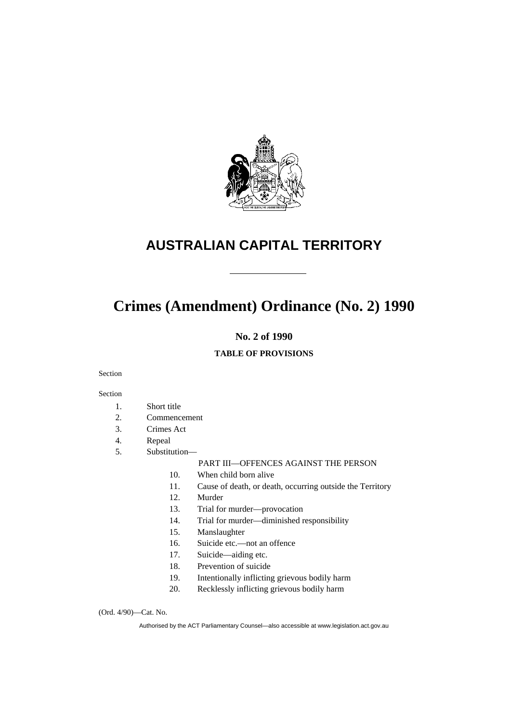

# **AUSTRALIAN CAPITAL TERRITORY**

# **Crimes (Amendment) Ordinance (No. 2) 1990**

# **No. 2 of 1990**

# **TABLE OF PROVISIONS**

Section

#### Section

- 1. Short title
- 2. Commencement
- 3. Crimes Act
- 4. Repeal
- 5. Substitution—

#### PART III—OFFENCES AGAINST THE PERSON

- 10. When child born alive
- 11. Cause of death, or death, occurring outside the Territory
- 12. Murder
- 13. Trial for murder—provocation
- 14. Trial for murder—diminished responsibility
- 15. Manslaughter
- 16. Suicide etc.—not an offence
- 17. Suicide—aiding etc.
- 18. Prevention of suicide
- 19. Intentionally inflicting grievous bodily harm
- 20. Recklessly inflicting grievous bodily harm

(Ord. 4/90)—Cat. No.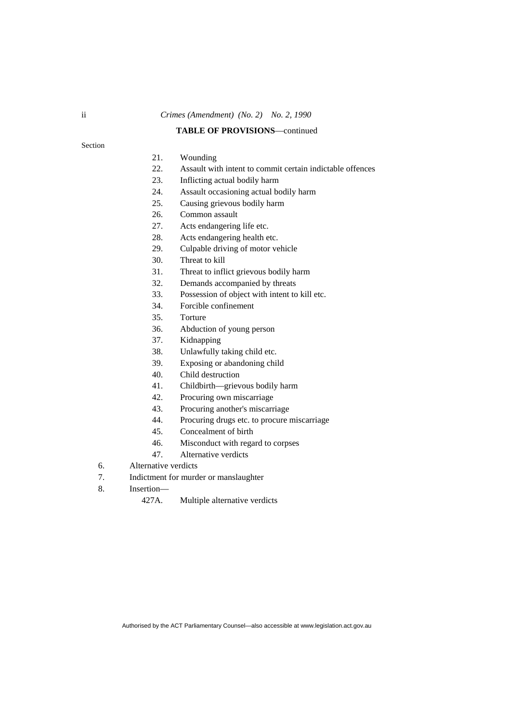#### **TABLE OF PROVISIONS**—continued

#### Section

#### 21. Wounding

- 22. Assault with intent to commit certain indictable offences
- 23. Inflicting actual bodily harm
- 24. Assault occasioning actual bodily harm
- 25. Causing grievous bodily harm
- 26. Common assault
- 27. Acts endangering life etc.
- 28. Acts endangering health etc.
- 29. Culpable driving of motor vehicle
- 30. Threat to kill
- 31. Threat to inflict grievous bodily harm
- 32. Demands accompanied by threats
- 33. Possession of object with intent to kill etc.
- 34. Forcible confinement
- 35. Torture
- 36. Abduction of young person
- 37. Kidnapping
- 38. Unlawfully taking child etc.
- 39. Exposing or abandoning child
- 40. Child destruction
- 41. Childbirth—grievous bodily harm
- 42. Procuring own miscarriage
- 43. Procuring another's miscarriage
- 44. Procuring drugs etc. to procure miscarriage
- 45. Concealment of birth
- 46. Misconduct with regard to corpses
- 47. Alternative verdicts
- 6. Alternative verdicts
- 7. Indictment for murder or manslaughter
- 8. Insertion—

427A. Multiple alternative verdicts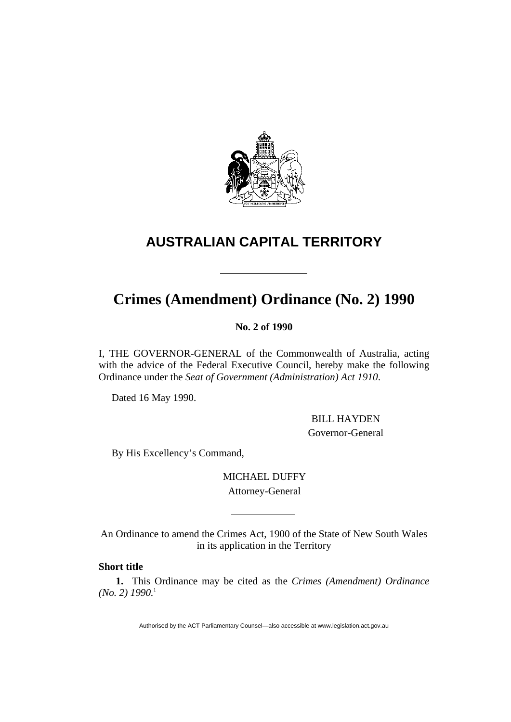

# **AUSTRALIAN CAPITAL TERRITORY**

# **Crimes (Amendment) Ordinance (No. 2) 1990**

**No. 2 of 1990** 

I, THE GOVERNOR-GENERAL of the Commonwealth of Australia, acting with the advice of the Federal Executive Council, hereby make the following Ordinance under the *Seat of Government (Administration) Act 1910*.

Dated 16 May 1990.

 BILL HAYDEN Governor-General

By His Excellency's Command,

MICHAEL DUFFY Attorney-General

An Ordinance to amend the Crimes Act, 1900 of the State of New South Wales in its application in the Territory

# **Short title**

**1.** This Ordinance may be cited as the *Crimes (Amendment) Ordinance (No. 2) 1990.*1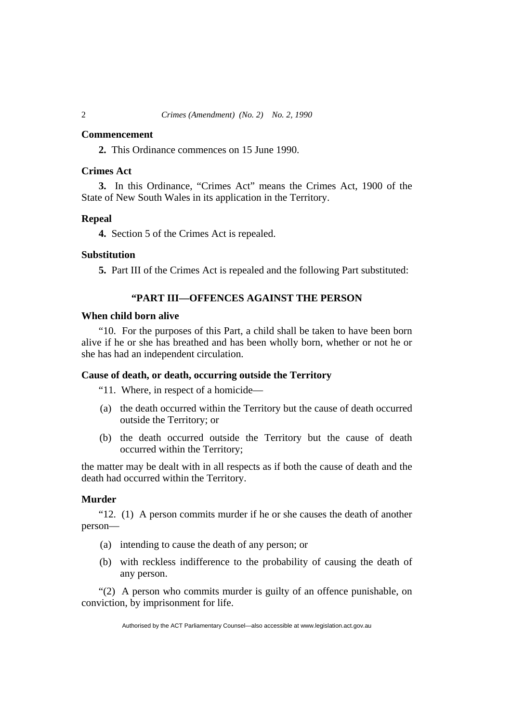#### **Commencement**

**2.** This Ordinance commences on 15 June 1990.

#### **Crimes Act**

**3.** In this Ordinance, "Crimes Act" means the Crimes Act, 1900 of the State of New South Wales in its application in the Territory.

### **Repeal**

**4.** Section 5 of the Crimes Act is repealed.

#### **Substitution**

**5.** Part III of the Crimes Act is repealed and the following Part substituted:

# **"PART III—OFFENCES AGAINST THE PERSON**

#### **When child born alive**

"10. For the purposes of this Part, a child shall be taken to have been born alive if he or she has breathed and has been wholly born, whether or not he or she has had an independent circulation.

# **Cause of death, or death, occurring outside the Territory**

"11. Where, in respect of a homicide—

- (a) the death occurred within the Territory but the cause of death occurred outside the Territory; or
- (b) the death occurred outside the Territory but the cause of death occurred within the Territory;

the matter may be dealt with in all respects as if both the cause of death and the death had occurred within the Territory.

# **Murder**

"12. (1) A person commits murder if he or she causes the death of another person—

- (a) intending to cause the death of any person; or
- (b) with reckless indifference to the probability of causing the death of any person.

"(2) A person who commits murder is guilty of an offence punishable, on conviction, by imprisonment for life.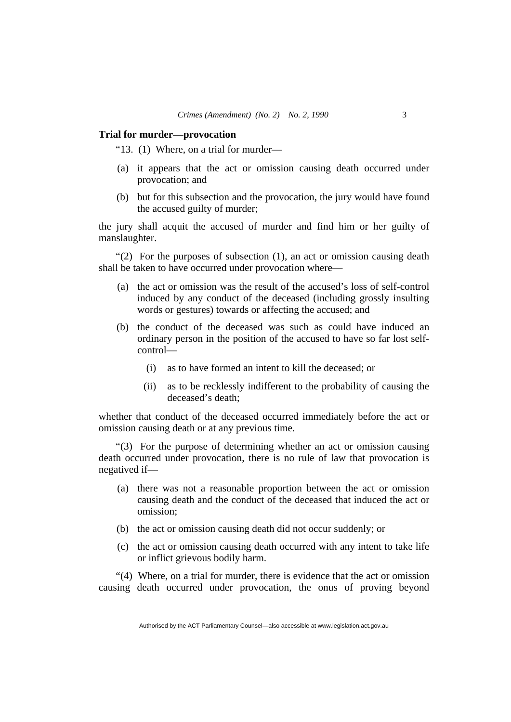#### **Trial for murder—provocation**

"13. (1) Where, on a trial for murder—

- (a) it appears that the act or omission causing death occurred under provocation; and
- (b) but for this subsection and the provocation, the jury would have found the accused guilty of murder;

the jury shall acquit the accused of murder and find him or her guilty of manslaughter.

"(2) For the purposes of subsection (1), an act or omission causing death shall be taken to have occurred under provocation where—

- (a) the act or omission was the result of the accused's loss of self-control induced by any conduct of the deceased (including grossly insulting words or gestures) towards or affecting the accused; and
- (b) the conduct of the deceased was such as could have induced an ordinary person in the position of the accused to have so far lost selfcontrol—
	- (i) as to have formed an intent to kill the deceased; or
	- (ii) as to be recklessly indifferent to the probability of causing the deceased's death;

whether that conduct of the deceased occurred immediately before the act or omission causing death or at any previous time.

"(3) For the purpose of determining whether an act or omission causing death occurred under provocation, there is no rule of law that provocation is negatived if—

- (a) there was not a reasonable proportion between the act or omission causing death and the conduct of the deceased that induced the act or omission;
- (b) the act or omission causing death did not occur suddenly; or
- (c) the act or omission causing death occurred with any intent to take life or inflict grievous bodily harm.

"(4) Where, on a trial for murder, there is evidence that the act or omission causing death occurred under provocation, the onus of proving beyond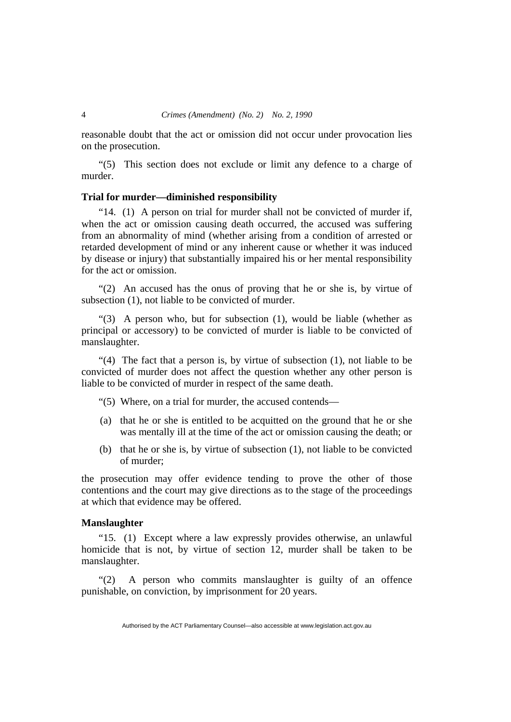reasonable doubt that the act or omission did not occur under provocation lies on the prosecution.

"(5) This section does not exclude or limit any defence to a charge of murder.

#### **Trial for murder—diminished responsibility**

"14. (1) A person on trial for murder shall not be convicted of murder if, when the act or omission causing death occurred, the accused was suffering from an abnormality of mind (whether arising from a condition of arrested or retarded development of mind or any inherent cause or whether it was induced by disease or injury) that substantially impaired his or her mental responsibility for the act or omission.

"(2) An accused has the onus of proving that he or she is, by virtue of subsection (1), not liable to be convicted of murder.

"(3) A person who, but for subsection (1), would be liable (whether as principal or accessory) to be convicted of murder is liable to be convicted of manslaughter.

"(4) The fact that a person is, by virtue of subsection (1), not liable to be convicted of murder does not affect the question whether any other person is liable to be convicted of murder in respect of the same death.

"(5) Where, on a trial for murder, the accused contends—

- (a) that he or she is entitled to be acquitted on the ground that he or she was mentally ill at the time of the act or omission causing the death; or
- (b) that he or she is, by virtue of subsection (1), not liable to be convicted of murder;

the prosecution may offer evidence tending to prove the other of those contentions and the court may give directions as to the stage of the proceedings at which that evidence may be offered.

#### **Manslaughter**

"15. (1) Except where a law expressly provides otherwise, an unlawful homicide that is not, by virtue of section 12, murder shall be taken to be manslaughter.

"(2) A person who commits manslaughter is guilty of an offence punishable, on conviction, by imprisonment for 20 years.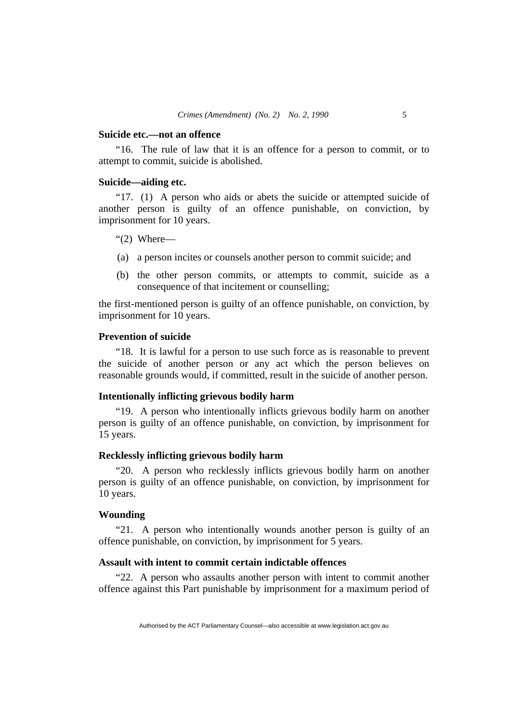#### **Suicide etc.—not an offence**

"16. The rule of law that it is an offence for a person to commit, or to attempt to commit, suicide is abolished.

### **Suicide—aiding etc.**

"17. (1) A person who aids or abets the suicide or attempted suicide of another person is guilty of an offence punishable, on conviction, by imprisonment for 10 years.

"(2) Where—

- (a) a person incites or counsels another person to commit suicide; and
- (b) the other person commits, or attempts to commit, suicide as a consequence of that incitement or counselling;

the first-mentioned person is guilty of an offence punishable, on conviction, by imprisonment for 10 years.

#### **Prevention of suicide**

"18. It is lawful for a person to use such force as is reasonable to prevent the suicide of another person or any act which the person believes on reasonable grounds would, if committed, result in the suicide of another person.

#### **Intentionally inflicting grievous bodily harm**

"19. A person who intentionally inflicts grievous bodily harm on another person is guilty of an offence punishable, on conviction, by imprisonment for 15 years.

# **Recklessly inflicting grievous bodily harm**

"20. A person who recklessly inflicts grievous bodily harm on another person is guilty of an offence punishable, on conviction, by imprisonment for 10 years.

#### **Wounding**

"21. A person who intentionally wounds another person is guilty of an offence punishable, on conviction, by imprisonment for 5 years.

### **Assault with intent to commit certain indictable offences**

"22. A person who assaults another person with intent to commit another offence against this Part punishable by imprisonment for a maximum period of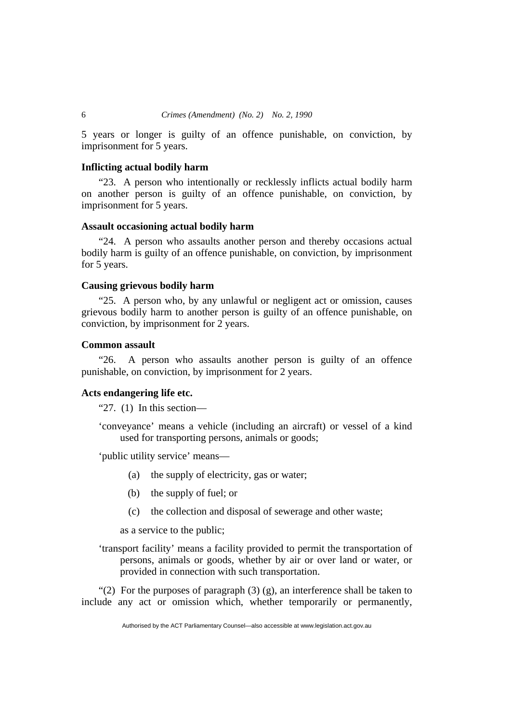5 years or longer is guilty of an offence punishable, on conviction, by imprisonment for 5 years.

#### **Inflicting actual bodily harm**

"23. A person who intentionally or recklessly inflicts actual bodily harm on another person is guilty of an offence punishable, on conviction, by imprisonment for 5 years.

#### **Assault occasioning actual bodily harm**

"24. A person who assaults another person and thereby occasions actual bodily harm is guilty of an offence punishable, on conviction, by imprisonment for 5 years.

#### **Causing grievous bodily harm**

"25. A person who, by any unlawful or negligent act or omission, causes grievous bodily harm to another person is guilty of an offence punishable, on conviction, by imprisonment for 2 years.

#### **Common assault**

"26. A person who assaults another person is guilty of an offence punishable, on conviction, by imprisonment for 2 years.

# **Acts endangering life etc.**

"27.  $(1)$  In this section—

'conveyance' means a vehicle (including an aircraft) or vessel of a kind used for transporting persons, animals or goods;

'public utility service' means—

- (a) the supply of electricity, gas or water;
- (b) the supply of fuel; or
- (c) the collection and disposal of sewerage and other waste;

as a service to the public;

'transport facility' means a facility provided to permit the transportation of persons, animals or goods, whether by air or over land or water, or provided in connection with such transportation.

"(2) For the purposes of paragraph  $(3)$  (g), an interference shall be taken to include any act or omission which, whether temporarily or permanently,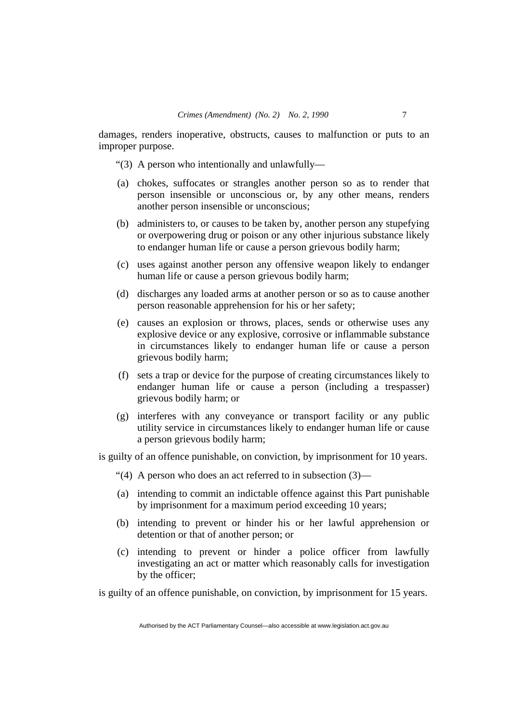damages, renders inoperative, obstructs, causes to malfunction or puts to an improper purpose.

- "(3) A person who intentionally and unlawfully—
- (a) chokes, suffocates or strangles another person so as to render that person insensible or unconscious or, by any other means, renders another person insensible or unconscious;
- (b) administers to, or causes to be taken by, another person any stupefying or overpowering drug or poison or any other injurious substance likely to endanger human life or cause a person grievous bodily harm;
- (c) uses against another person any offensive weapon likely to endanger human life or cause a person grievous bodily harm;
- (d) discharges any loaded arms at another person or so as to cause another person reasonable apprehension for his or her safety;
- (e) causes an explosion or throws, places, sends or otherwise uses any explosive device or any explosive, corrosive or inflammable substance in circumstances likely to endanger human life or cause a person grievous bodily harm;
- (f) sets a trap or device for the purpose of creating circumstances likely to endanger human life or cause a person (including a trespasser) grievous bodily harm; or
- (g) interferes with any conveyance or transport facility or any public utility service in circumstances likely to endanger human life or cause a person grievous bodily harm;

is guilty of an offence punishable, on conviction, by imprisonment for 10 years.

- "(4) A person who does an act referred to in subsection (3)—
- (a) intending to commit an indictable offence against this Part punishable by imprisonment for a maximum period exceeding 10 years;
- (b) intending to prevent or hinder his or her lawful apprehension or detention or that of another person; or
- (c) intending to prevent or hinder a police officer from lawfully investigating an act or matter which reasonably calls for investigation by the officer;

is guilty of an offence punishable, on conviction, by imprisonment for 15 years.

Authorised by the ACT Parliamentary Counsel—also accessible at www.legislation.act.gov.au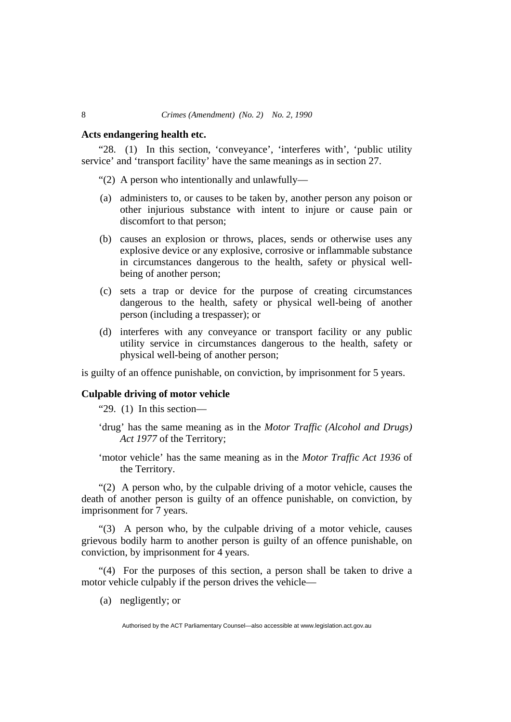#### **Acts endangering health etc.**

"28. (1) In this section, 'conveyance', 'interferes with', 'public utility service' and 'transport facility' have the same meanings as in section 27.

- "(2) A person who intentionally and unlawfully—
- (a) administers to, or causes to be taken by, another person any poison or other injurious substance with intent to injure or cause pain or discomfort to that person;
- (b) causes an explosion or throws, places, sends or otherwise uses any explosive device or any explosive, corrosive or inflammable substance in circumstances dangerous to the health, safety or physical wellbeing of another person;
- (c) sets a trap or device for the purpose of creating circumstances dangerous to the health, safety or physical well-being of another person (including a trespasser); or
- (d) interferes with any conveyance or transport facility or any public utility service in circumstances dangerous to the health, safety or physical well-being of another person;

is guilty of an offence punishable, on conviction, by imprisonment for 5 years.

### **Culpable driving of motor vehicle**

"29. (1) In this section—

- 'drug' has the same meaning as in the *Motor Traffic (Alcohol and Drugs) Act 1977* of the Territory;
- 'motor vehicle' has the same meaning as in the *Motor Traffic Act 1936* of the Territory.

"(2) A person who, by the culpable driving of a motor vehicle, causes the death of another person is guilty of an offence punishable, on conviction, by imprisonment for 7 years.

"(3) A person who, by the culpable driving of a motor vehicle, causes grievous bodily harm to another person is guilty of an offence punishable, on conviction, by imprisonment for 4 years.

"(4) For the purposes of this section, a person shall be taken to drive a motor vehicle culpably if the person drives the vehicle—

(a) negligently; or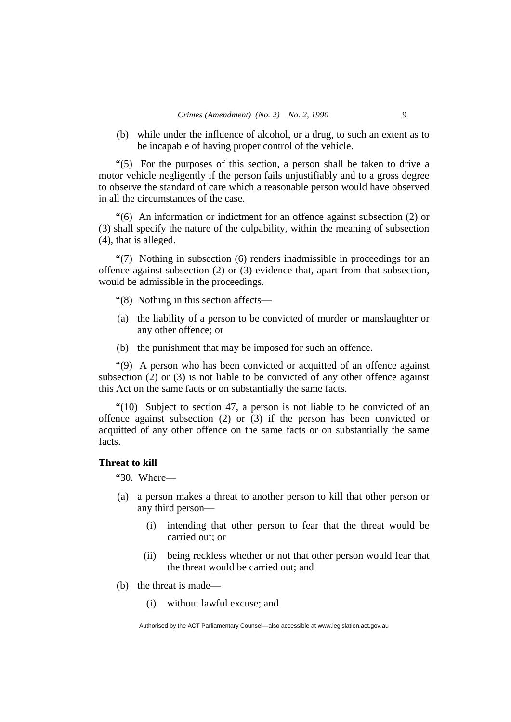(b) while under the influence of alcohol, or a drug, to such an extent as to be incapable of having proper control of the vehicle.

"(5) For the purposes of this section, a person shall be taken to drive a motor vehicle negligently if the person fails unjustifiably and to a gross degree to observe the standard of care which a reasonable person would have observed in all the circumstances of the case.

"(6) An information or indictment for an offence against subsection (2) or (3) shall specify the nature of the culpability, within the meaning of subsection (4), that is alleged.

"(7) Nothing in subsection (6) renders inadmissible in proceedings for an offence against subsection (2) or (3) evidence that, apart from that subsection, would be admissible in the proceedings.

"(8) Nothing in this section affects—

- (a) the liability of a person to be convicted of murder or manslaughter or any other offence; or
- (b) the punishment that may be imposed for such an offence.

"(9) A person who has been convicted or acquitted of an offence against subsection  $(2)$  or  $(3)$  is not liable to be convicted of any other offence against this Act on the same facts or on substantially the same facts.

"(10) Subject to section 47, a person is not liable to be convicted of an offence against subsection (2) or (3) if the person has been convicted or acquitted of any other offence on the same facts or on substantially the same facts.

#### **Threat to kill**

"30. Where—

- (a) a person makes a threat to another person to kill that other person or any third person—
	- (i) intending that other person to fear that the threat would be carried out; or
	- (ii) being reckless whether or not that other person would fear that the threat would be carried out; and
- (b) the threat is made—
	- (i) without lawful excuse; and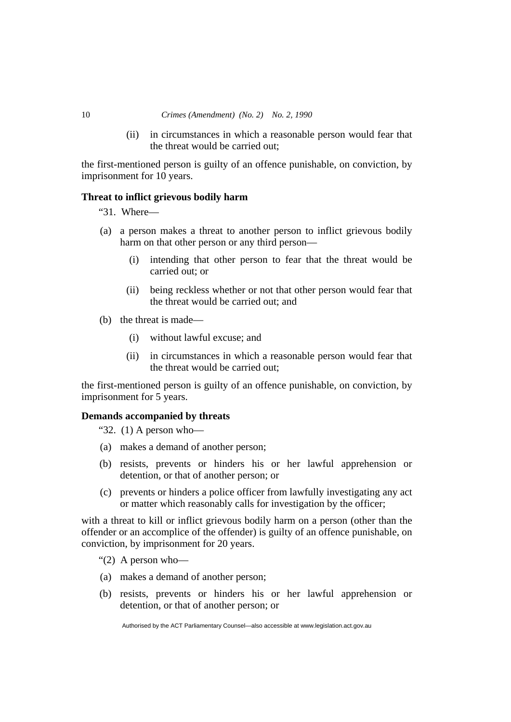(ii) in circumstances in which a reasonable person would fear that the threat would be carried out;

the first-mentioned person is guilty of an offence punishable, on conviction, by imprisonment for 10 years.

### **Threat to inflict grievous bodily harm**

"31. Where—

- (a) a person makes a threat to another person to inflict grievous bodily harm on that other person or any third person—
	- (i) intending that other person to fear that the threat would be carried out; or
	- (ii) being reckless whether or not that other person would fear that the threat would be carried out; and
- (b) the threat is made—
	- (i) without lawful excuse; and
	- (ii) in circumstances in which a reasonable person would fear that the threat would be carried out;

the first-mentioned person is guilty of an offence punishable, on conviction, by imprisonment for 5 years.

### **Demands accompanied by threats**

"32.  $(1)$  A person who-

- (a) makes a demand of another person;
- (b) resists, prevents or hinders his or her lawful apprehension or detention, or that of another person; or
- (c) prevents or hinders a police officer from lawfully investigating any act or matter which reasonably calls for investigation by the officer;

with a threat to kill or inflict grievous bodily harm on a person (other than the offender or an accomplice of the offender) is guilty of an offence punishable, on conviction, by imprisonment for 20 years.

- " $(2)$  A person who-
- (a) makes a demand of another person;
- (b) resists, prevents or hinders his or her lawful apprehension or detention, or that of another person; or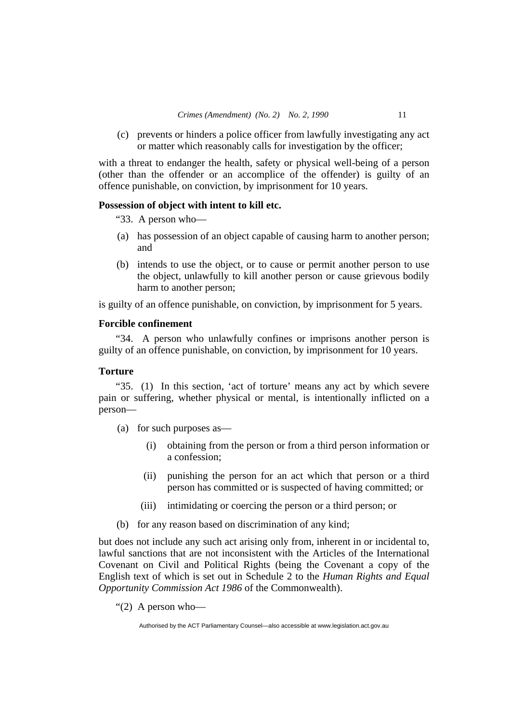(c) prevents or hinders a police officer from lawfully investigating any act or matter which reasonably calls for investigation by the officer;

with a threat to endanger the health, safety or physical well-being of a person (other than the offender or an accomplice of the offender) is guilty of an offence punishable, on conviction, by imprisonment for 10 years.

#### **Possession of object with intent to kill etc.**

"33. A person who—

- (a) has possession of an object capable of causing harm to another person; and
- (b) intends to use the object, or to cause or permit another person to use the object, unlawfully to kill another person or cause grievous bodily harm to another person;

is guilty of an offence punishable, on conviction, by imprisonment for 5 years.

# **Forcible confinement**

"34. A person who unlawfully confines or imprisons another person is guilty of an offence punishable, on conviction, by imprisonment for 10 years.

# **Torture**

"35. (1) In this section, 'act of torture' means any act by which severe pain or suffering, whether physical or mental, is intentionally inflicted on a person—

- (a) for such purposes as—
	- (i) obtaining from the person or from a third person information or a confession;
	- (ii) punishing the person for an act which that person or a third person has committed or is suspected of having committed; or
	- (iii) intimidating or coercing the person or a third person; or
- (b) for any reason based on discrimination of any kind;

but does not include any such act arising only from, inherent in or incidental to, lawful sanctions that are not inconsistent with the Articles of the International Covenant on Civil and Political Rights (being the Covenant a copy of the English text of which is set out in Schedule 2 to the *Human Rights and Equal Opportunity Commission Act 1986* of the Commonwealth).

" $(2)$  A person who-

Authorised by the ACT Parliamentary Counsel—also accessible at www.legislation.act.gov.au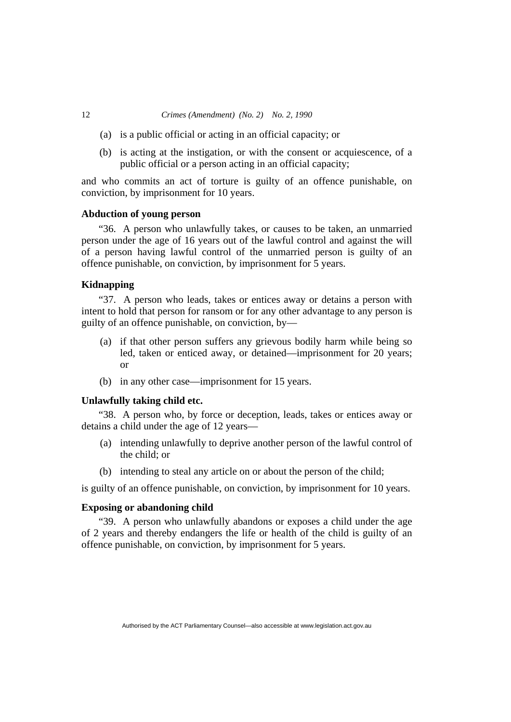- (a) is a public official or acting in an official capacity; or
- (b) is acting at the instigation, or with the consent or acquiescence, of a public official or a person acting in an official capacity;

and who commits an act of torture is guilty of an offence punishable, on conviction, by imprisonment for 10 years.

#### **Abduction of young person**

"36. A person who unlawfully takes, or causes to be taken, an unmarried person under the age of 16 years out of the lawful control and against the will of a person having lawful control of the unmarried person is guilty of an offence punishable, on conviction, by imprisonment for 5 years.

#### **Kidnapping**

"37. A person who leads, takes or entices away or detains a person with intent to hold that person for ransom or for any other advantage to any person is guilty of an offence punishable, on conviction, by—

- (a) if that other person suffers any grievous bodily harm while being so led, taken or enticed away, or detained—imprisonment for 20 years; or
- (b) in any other case—imprisonment for 15 years.

### **Unlawfully taking child etc.**

"38. A person who, by force or deception, leads, takes or entices away or detains a child under the age of 12 years—

- (a) intending unlawfully to deprive another person of the lawful control of the child; or
- (b) intending to steal any article on or about the person of the child;

is guilty of an offence punishable, on conviction, by imprisonment for 10 years.

#### **Exposing or abandoning child**

"39. A person who unlawfully abandons or exposes a child under the age of 2 years and thereby endangers the life or health of the child is guilty of an offence punishable, on conviction, by imprisonment for 5 years.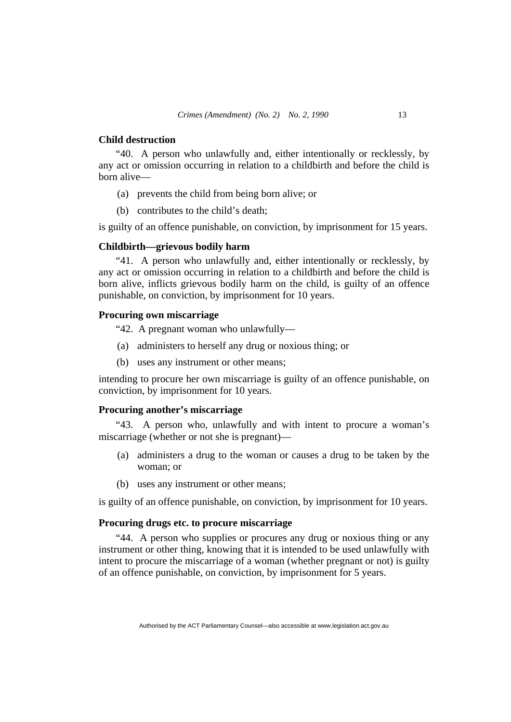#### **Child destruction**

"40. A person who unlawfully and, either intentionally or recklessly, by any act or omission occurring in relation to a childbirth and before the child is born alive—

- (a) prevents the child from being born alive; or
- (b) contributes to the child's death;

is guilty of an offence punishable, on conviction, by imprisonment for 15 years.

#### **Childbirth—grievous bodily harm**

"41. A person who unlawfully and, either intentionally or recklessly, by any act or omission occurring in relation to a childbirth and before the child is born alive, inflicts grievous bodily harm on the child, is guilty of an offence punishable, on conviction, by imprisonment for 10 years.

## **Procuring own miscarriage**

"42. A pregnant woman who unlawfully—

- (a) administers to herself any drug or noxious thing; or
- (b) uses any instrument or other means;

intending to procure her own miscarriage is guilty of an offence punishable, on conviction, by imprisonment for 10 years.

#### **Procuring another's miscarriage**

"43. A person who, unlawfully and with intent to procure a woman's miscarriage (whether or not she is pregnant)—

- (a) administers a drug to the woman or causes a drug to be taken by the woman; or
- (b) uses any instrument or other means;

is guilty of an offence punishable, on conviction, by imprisonment for 10 years.

#### **Procuring drugs etc. to procure miscarriage**

"44. A person who supplies or procures any drug or noxious thing or any instrument or other thing, knowing that it is intended to be used unlawfully with intent to procure the miscarriage of a woman (whether pregnant or not) is guilty of an offence punishable, on conviction, by imprisonment for 5 years.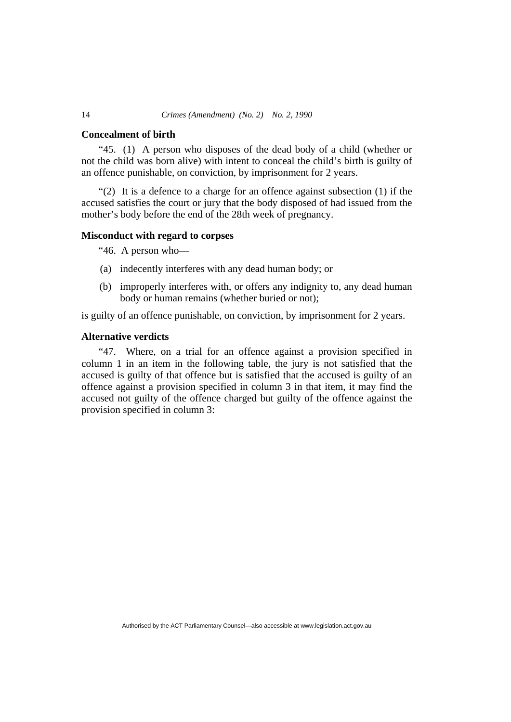#### **Concealment of birth**

"45. (1) A person who disposes of the dead body of a child (whether or not the child was born alive) with intent to conceal the child's birth is guilty of an offence punishable, on conviction, by imprisonment for 2 years.

"(2) It is a defence to a charge for an offence against subsection (1) if the accused satisfies the court or jury that the body disposed of had issued from the mother's body before the end of the 28th week of pregnancy.

#### **Misconduct with regard to corpses**

"46. A person who—

- (a) indecently interferes with any dead human body; or
- (b) improperly interferes with, or offers any indignity to, any dead human body or human remains (whether buried or not);

is guilty of an offence punishable, on conviction, by imprisonment for 2 years.

# **Alternative verdicts**

"47. Where, on a trial for an offence against a provision specified in column 1 in an item in the following table, the jury is not satisfied that the accused is guilty of that offence but is satisfied that the accused is guilty of an offence against a provision specified in column 3 in that item, it may find the accused not guilty of the offence charged but guilty of the offence against the provision specified in column 3: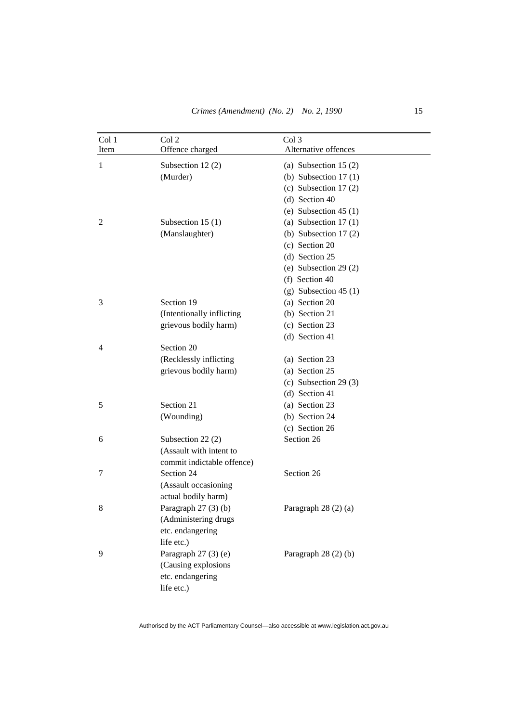| Col 1 | Col 2                      | Col 3                   |
|-------|----------------------------|-------------------------|
| Item  | Offence charged            | Alternative offences    |
| 1     | Subsection 12(2)           | (a) Subsection 15 $(2)$ |
|       | (Murder)                   | (b) Subsection $17(1)$  |
|       |                            | (c) Subsection $17(2)$  |
|       |                            | $(d)$ Section 40        |
|       |                            | (e) Subsection $45(1)$  |
| 2     | Subsection 15 (1)          | (a) Subsection $17(1)$  |
|       | (Manslaughter)             | (b) Subsection $17(2)$  |
|       |                            | (c) Section 20          |
|       |                            | $(d)$ Section 25        |
|       |                            | (e) Subsection 29 $(2)$ |
|       |                            | (f) Section 40          |
|       |                            | $(g)$ Subsection 45 (1) |
| 3     | Section 19                 | (a) Section 20          |
|       | (Intentionally inflicting  | (b) Section 21          |
|       | grievous bodily harm)      | (c) Section 23          |
|       |                            | (d) Section 41          |
| 4     | Section 20                 |                         |
|       | (Recklessly inflicting     | (a) Section 23          |
|       | grievous bodily harm)      | (a) Section 25          |
|       |                            | (c) Subsection 29 $(3)$ |
|       |                            | $(d)$ Section 41        |
| 5     | Section 21                 | (a) Section 23          |
|       | (Wounding)                 | (b) Section 24          |
|       |                            | (c) Section 26          |
| 6     | Subsection 22 (2)          | Section 26              |
|       | (Assault with intent to    |                         |
|       | commit indictable offence) |                         |
| 7     | Section 24                 | Section 26              |
|       | (Assault occasioning       |                         |
|       | actual bodily harm)        |                         |
| 8     | Paragraph 27 (3) (b)       | Paragraph 28 (2) (a)    |
|       | (Administering drugs       |                         |
|       | etc. endangering           |                         |
|       | life etc.)                 |                         |
| 9     | Paragraph 27 (3) (e)       | Paragraph $28(2)(b)$    |
|       | (Causing explosions        |                         |
|       | etc. endangering           |                         |
|       | life etc.)                 |                         |